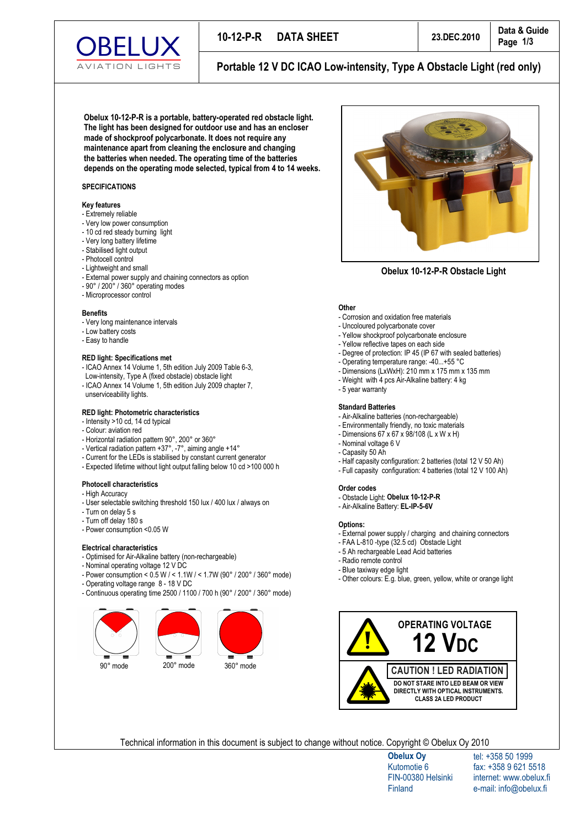

Portable 12 V DC ICAO Low-intensity, Type A Obstacle Light (red only)

Obelux 10-12-P-R is a portable, battery-operated red obstacle light. The light has been designed for outdoor use and has an encloser made of shockproof polycarbonate. It does not require any maintenance apart from cleaning the enclosure and changing the batteries when needed. The operating time of the batteries depends on the operating mode selected, typical from 4 to 14 weeks.

## **SPECIFICATIONS**

## **Key features**

- Extremely reliable
- Very low power consumption
- 10 cd red steady burning light
- Very long battery lifetime
- Stabilised light output
- Photocell control
- Lightweight and small
- External power supply and chaining connectors as option
- $-90^\circ$  / 200 $^\circ$  / 360 $^\circ$  operating modes
- Microprocessor control

#### **B e n e f i t s**

- Very long maintenance intervals
- Low battery costs
- Easy to handle

#### **RED light: Specifications met**

- ICAO Annex 14 Volume 1, 5th edition July 2009 Table 6-3, Low-intensity, Type A (fixed obstacle) obstacle light
- ICAO Annex 14 Volume 1, 5th edition July 2009 chapter 7, unserviceability lights.

## **RED light: Photometric characteristics**

- Intensity  $>$  10 cd, 14 cd typical
- Colour: aviation red
- Horizontal radiation pattern 90°, 200° or 360°
- Vertical radiation pattern +37°, -7°, aiming angle +14°
- Current for the LEDs is stabilised by constant current generator
- Expected lifetime without light output falling below 10 cd > 100 000 h

## **Photocell characteristics**

- High Accuracy
- User selectable switching threshold 150 lux / 400 lux / always on
- Turn on delay 5 s
- Turn off delay 180 s
- Power consumption < 0.05 W

## **Electrical characteristics**

- Optimised for Air-Alkaline battery (non-rechargeable)
- Nominal operating voltage 12 V DC
- Power consumption <  $0.5 W / \le 1.1 W / \le 1.7 W$  (90° / 200° / 360° mode)
- Operating voltage range 8 18 V DC
- Continuous operating time 2500 / 1100 / 700 h (90° / 200° / 360° mode)





**Obelux 10-12-P-R Obstacle Light** 

## Other

- Corrosion and oxidation free materials
- Uncoloured polycarbonate cover
- Yellow shockproof polycarbonate enclosure
- Yellow reflective tapes on each side
- Degree of protection: IP 45 (IP 67 with sealed batteries)
- Operating temperature range: -40...+55 °C
- Dimensions (LxWxH): 210 mm x 175 mm x 135 mm
- Weight with 4 pcs Air-Alkaline battery: 4 kg
- 5 year warranty

#### **Standard Batteries**

- Air-Alkaline batteries (non-rechargeable)
- Environmentally friendly, no toxic materials
- Dimensions  $67 \times 67 \times 98 / 108$  (L  $\times$  W  $\times$  H)
- Nominal voltage 6 V
- Capasity 50 Ah
- Half capasity configuration: 2 batteries (total 12 V 50 Ah)
- Full capasity configuration: 4 batteries (total 12 V 100 Ah)

#### **Order codes**

- Obstacle Light: Obelux 10-12-P-R
- Air-Alkaline Battery: EL-IP-5-6V

#### Ontions<sup>.</sup>

- External power supply / charging and chaining connectors
- $-$  FAA L-810 -type (32.5 cd) Obstacle Light
- 5 Ah rechargeable Lead Acid batteries
- Radio remote control
- Blue taxiway edge light
- Other colours: E.g. blue, green, yellow, white or orange light



Technical information in this document is subject to change without notice. Copyright © Obelux Oy 2010

**Obelux Oy** Kutomotie 6 FIN-00380 Helsinki **Finland** 

tel: +358 50 1999 fax: +358 9 621 5518 internet: www.obelux.fi e-mail: info@obelux.fi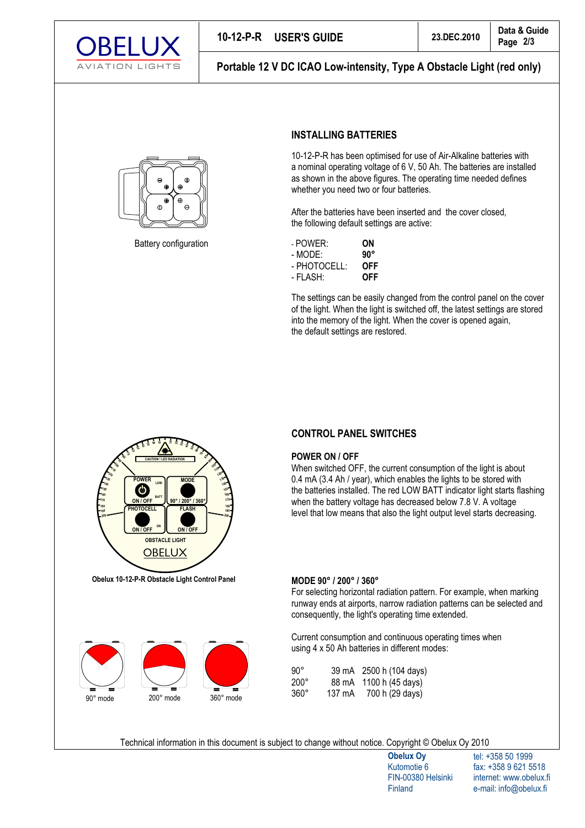

Portable 12 V DC ICAO Low-intensity, Type A Obstacle Light (red only)



Battery configuration

# **INSTALLING BATTERIES**

10-12-P-R has been optimised for use of Air-Alkaline batteries with a nominal operating voltage of 6 V, 50 Ah. The batteries are installed as shown in the above figures. The operating time needed defines whether you need two or four batteries.

After the batteries have been inserted and the cover closed, the following default settings are active:

| - POWER:     | ΟN           |
|--------------|--------------|
| - MODE:      | $90^{\circ}$ |
| - PHOTOCELL: | OFF          |
| - FLASH:     | OFF          |

The settings can be easily changed from the control panel on the cover of the light. When the light is switched off, the latest settings are stored into the memory of the light. When the cover is opened again, the default settings are restored.



Obelux 10-12-P-R Obstacle Light Control Panel



# **CONTROL PANEL SWITCHES**

## **POWER ON / OFF**

When switched OFF, the current consumption of the light is about 0.4 mA (3.4 Ah / year), which enables the lights to be stored with the batteries installed. The red LOW BATT indicator light starts flashing when the battery voltage has decreased below 7.8 V. A voltage level that low means that also the light output level starts decreasing.

# MODE 90° / 200° / 360°

For selecting horizontal radiation pattern. For example, when marking runway ends at airports, narrow radiation patterns can be selected and consequently, the light's operating time extended.

Current consumption and continuous operating times when using 4 x 50 Ah batteries in different modes:

| $90^{\circ}$ |        | 39 mA 2500 h (104 days) |
|--------------|--------|-------------------------|
| $200^\circ$  | 88 mA  | 1100 h (45 days)        |
| $360^\circ$  | 137 mA | 700 h (29 days)         |

Technical information in this document is subject to change without notice. Copyright © Obelux Oy 2010

**Obelux Oy** Kutomotie 6 FIN-00380 Helsinki Finland

tel: +358 50 1999 fax: +358 9 621 5518 internet: www.obelux.fi e-mail: info@obelux.fi